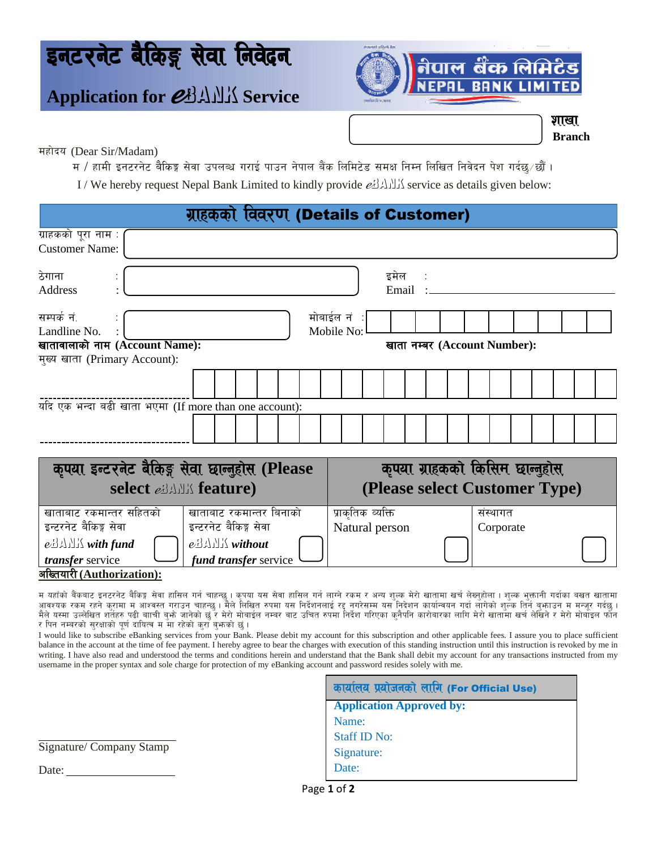# इनटरनेट बैंकिङ्ग सेवा निवेदन

## **Application for** *eBANK* Service



Ì

**Branch**

शाखा

महोदय (Dear Sir/Madam)

म / हामी इनटरनेट बैकिङ्ग सेवा उपलब्ध गराई पाउन नेपाल बैंक लिमिटेड समक्ष निम्न लिखित निवेदन पेश गर्दछ∕छौं ।

I / We hereby request Nepal Bank Limited to kindly provide  $e^{i}$ 

| ग्राहकको विवरण (Details of Customer)                                                                    |                                                           |  |
|---------------------------------------------------------------------------------------------------------|-----------------------------------------------------------|--|
| ग्राहकको पूरा नाम :<br><b>Customer Name:</b>                                                            |                                                           |  |
| ठेगाना<br>Address                                                                                       | इमेल :<br>Email:                                          |  |
| सम्पर्क नं.<br>Landline No.<br>खातावालाको नाम (Account Name):                                           | मोबाईल नं ∶<br>Mobile No:<br>खाता नम्बर (Account Number): |  |
| मुख्य खाता (Primary Account):                                                                           |                                                           |  |
|                                                                                                         |                                                           |  |
| यदि एक भन्दा बढी खाता भएमा (If more than one account):                                                  |                                                           |  |
|                                                                                                         |                                                           |  |
|                                                                                                         |                                                           |  |
| कपया इन्टरनेट बैकिङ्ग सेवा छान्नुहोस (Please                                                            | कुपया ग्राहकको किसिम छान्नुहोस                            |  |
| select example feature)                                                                                 | (Please select Customer Type)                             |  |
| खाताबाट रकमान्तर सहितको<br>खाताबाट रकमान्तर बिनाको                                                      | प्राकृतिक व्यक्ति<br>संस्थागत                             |  |
| इन्टरनेट बैकिङ्ग सेवा<br>इन्टरनेट बैकिङ्ग सेवा                                                          | Natural person<br>Corporate                               |  |
| $e_2$<br>$e_2$ $\Delta$ $\Delta$ $\Delta$ with fund<br>transfer service<br><i>fund transfer service</i> |                                                           |  |

#### अख्तियारी (Authorization):

म यहाँको बैंकबाट इनटरनेट बैकिङ्ग सेवा हासिल गर्न चाहन्छु । कृपया यस सेवा हासिल गर्न रजम र अन्य शुल्क मेरो खातामा खर्च लेब्नुहोला । शुल्क भुक्तानी गर्दाका बखत खातामा आवश्यक रकम रहने कुरामा म आश्वस्त गराउन चाहन्छु । मैले लिखित रुपमा यस निदेशनमधायस गर्दा वार्यावयन गर्दा लागेको शुल्क तिर्न बुफाउन म मन्जूर गर्दछु । मैले यस्मा उल्लेखित शर्तेहरु पढी बााची बुफो जानेको छुँ र मेरो मोबाईल नम्बर बाट उचित रुपमा निर्देश गरिएका कृनैपनि कारोबारका लागि मेरो खातामा खर्च लेखिने र मेरो मोबाइल फौन र पिन नम्बरको सुरक्षाको पूर्ण दायित्व म मा रहेको कुराँ बुभ्रुको छुं।

I would like to subscribe eBanking services from your Bank. Please debit my account for this subscription and other applicable fees. I assure you to place sufficient balance in the account at the time of fee payment. I hereby agree to bear the charges with execution of this standing instruction until this instruction is revoked by me in writing. I have also read and understood the terms and conditions herein and understand that the Bank shall debit my account for any transactions instructed from my username in the proper syntax and sole charge for protection of my eBanking account and password resides solely with me.

|                          | कार्यालय प्रयोजनको लागि (For Official Use) |
|--------------------------|--------------------------------------------|
|                          | <b>Application Approved by:</b>            |
|                          | Name:                                      |
|                          | <b>Staff ID No:</b>                        |
| Signature/ Company Stamp | Signature:                                 |
| Date:                    | Date:                                      |